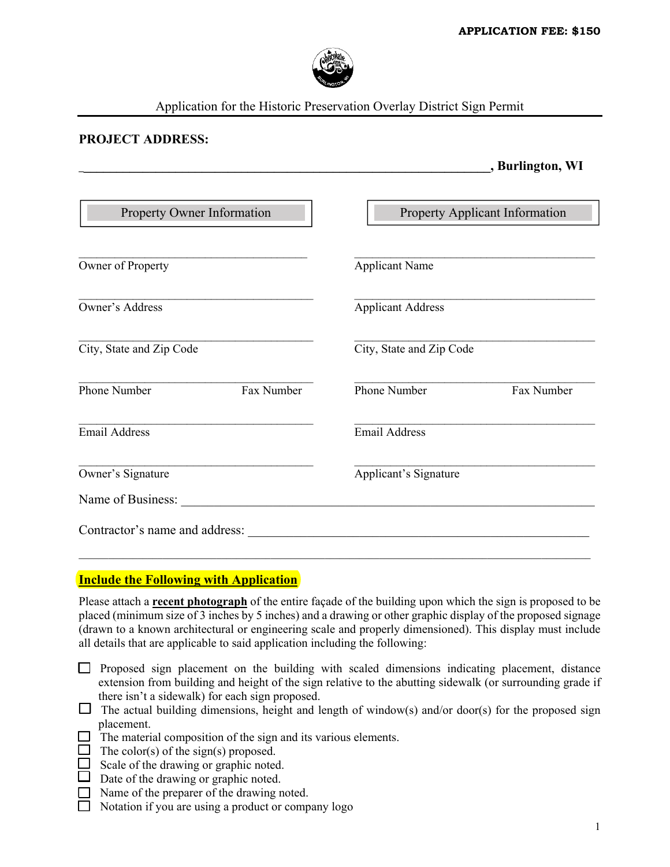**\_\_\_\_\_\_\_\_\_\_\_\_\_\_\_\_\_\_\_\_\_\_\_\_\_\_\_\_\_\_\_\_\_\_\_\_\_\_\_\_\_\_\_\_\_\_\_\_\_\_\_\_\_\_\_\_\_\_\_\_\_\_\_, Burlington, WI** 



Application for the Historic Preservation Overlay District Sign Permit

## **PROJECT ADDRESS:**

| Property Owner Information | Property Applicant Information |            |
|----------------------------|--------------------------------|------------|
| Owner of Property          | <b>Applicant Name</b>          |            |
| <b>Owner's Address</b>     | <b>Applicant Address</b>       |            |
| City, State and Zip Code   | City, State and Zip Code       |            |
| Phone Number<br>Fax Number | Phone Number                   | Fax Number |
| <b>Email Address</b>       | <b>Email Address</b>           |            |
| Owner's Signature          | Applicant's Signature          |            |
| Name of Business:          |                                |            |

## **Include the Following with Application**

Please attach a **recent photograph** of the entire façade of the building upon which the sign is proposed to be placed (minimum size of 3 inches by 5 inches) and a drawing or other graphic display of the proposed signage (drawn to a known architectural or engineering scale and properly dimensioned). This display must include all details that are applicable to said application including the following:

\_\_\_\_\_\_\_\_\_\_\_\_\_\_\_\_\_\_\_\_\_\_\_\_\_\_\_\_\_\_\_\_\_\_\_\_\_\_\_\_\_\_\_\_\_\_\_\_\_\_\_\_\_\_\_\_\_\_\_\_\_\_\_\_\_\_\_\_\_\_\_\_\_\_\_\_\_\_\_\_\_\_\_\_\_\_\_\_\_\_\_\_\_\_\_\_\_\_\_\_\_\_\_\_

- $\Box$  Proposed sign placement on the building with scaled dimensions indicating placement, distance extension from building and height of the sign relative to the abutting sidewalk (or surrounding grade if there isn't a sidewalk) for each sign proposed.
- $\Box$  The actual building dimensions, height and length of window(s) and/or door(s) for the proposed sign placement.
- $\Box$  The material composition of the sign and its various elements.
- $\Box$  The color(s) of the sign(s) proposed.
- $\Box$  Scale of the drawing or graphic noted.
- $\Box$  Date of the drawing or graphic noted.
- Name of the preparer of the drawing noted.
- $\Box$  Notation if you are using a product or company logo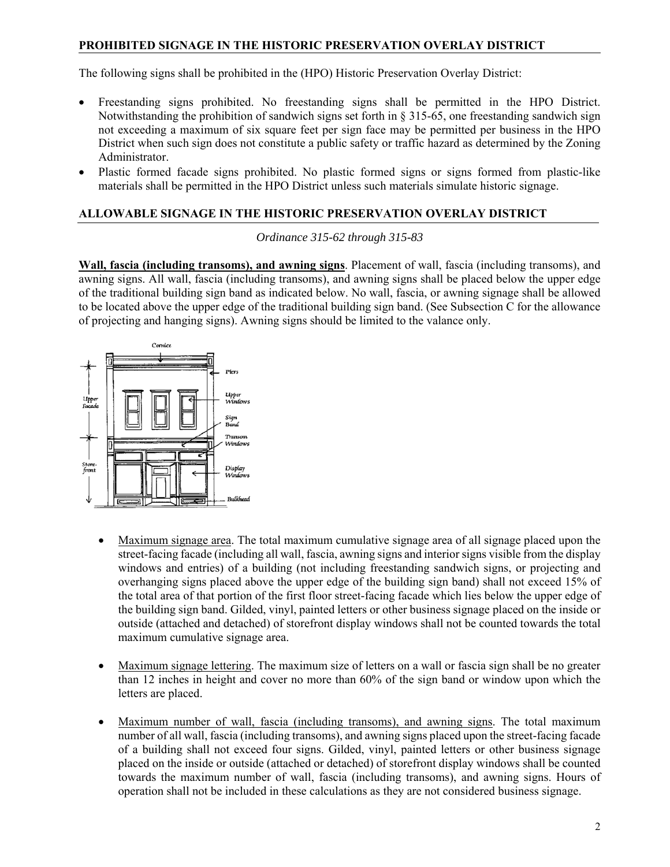## **PROHIBITED SIGNAGE IN THE HISTORIC PRESERVATION OVERLAY DISTRICT**

The following signs shall be prohibited in the (HPO) Historic Preservation Overlay District:

- Freestanding signs prohibited. No freestanding signs shall be permitted in the HPO District. Notwithstanding the prohibition of sandwich signs set forth in § 315-65, one freestanding sandwich sign not exceeding a maximum of six square feet per sign face may be permitted per business in the HPO District when such sign does not constitute a public safety or traffic hazard as determined by the Zoning Administrator.
- Plastic formed facade signs prohibited. No plastic formed signs or signs formed from plastic-like materials shall be permitted in the HPO District unless such materials simulate historic signage.

## **ALLOWABLE SIGNAGE IN THE HISTORIC PRESERVATION OVERLAY DISTRICT**

*Ordinance 315-62 through 315-83* 

**Wall, fascia (including transoms), and awning signs**. Placement of wall, fascia (including transoms), and awning signs. All wall, fascia (including transoms), and awning signs shall be placed below the upper edge of the traditional building sign band as indicated below. No wall, fascia, or awning signage shall be allowed to be located above the upper edge of the traditional building sign band. (See Subsection C for the allowance of projecting and hanging signs). Awning signs should be limited to the valance only.



- Maximum signage area. The total maximum cumulative signage area of all signage placed upon the street-facing facade (including all wall, fascia, awning signs and interior signs visible from the display windows and entries) of a building (not including freestanding sandwich signs, or projecting and overhanging signs placed above the upper edge of the building sign band) shall not exceed 15% of the total area of that portion of the first floor street-facing facade which lies below the upper edge of the building sign band. Gilded, vinyl, painted letters or other business signage placed on the inside or outside (attached and detached) of storefront display windows shall not be counted towards the total maximum cumulative signage area.
- Maximum signage lettering. The maximum size of letters on a wall or fascia sign shall be no greater than 12 inches in height and cover no more than 60% of the sign band or window upon which the letters are placed.
- Maximum number of wall, fascia (including transoms), and awning signs. The total maximum number of all wall, fascia (including transoms), and awning signs placed upon the street-facing facade of a building shall not exceed four signs. Gilded, vinyl, painted letters or other business signage placed on the inside or outside (attached or detached) of storefront display windows shall be counted towards the maximum number of wall, fascia (including transoms), and awning signs. Hours of operation shall not be included in these calculations as they are not considered business signage.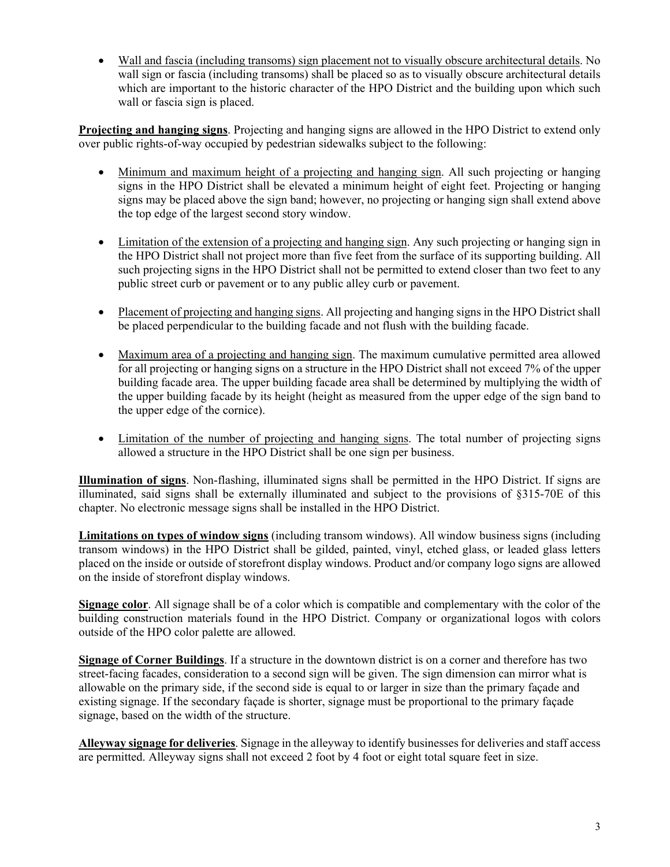Wall and fascia (including transoms) sign placement not to visually obscure architectural details. No wall sign or fascia (including transoms) shall be placed so as to visually obscure architectural details which are important to the historic character of the HPO District and the building upon which such wall or fascia sign is placed.

**Projecting and hanging signs**. Projecting and hanging signs are allowed in the HPO District to extend only over public rights-of-way occupied by pedestrian sidewalks subject to the following:

- Minimum and maximum height of a projecting and hanging sign. All such projecting or hanging signs in the HPO District shall be elevated a minimum height of eight feet. Projecting or hanging signs may be placed above the sign band; however, no projecting or hanging sign shall extend above the top edge of the largest second story window.
- Limitation of the extension of a projecting and hanging sign. Any such projecting or hanging sign in the HPO District shall not project more than five feet from the surface of its supporting building. All such projecting signs in the HPO District shall not be permitted to extend closer than two feet to any public street curb or pavement or to any public alley curb or pavement.
- Placement of projecting and hanging signs. All projecting and hanging signs in the HPO District shall be placed perpendicular to the building facade and not flush with the building facade.
- Maximum area of a projecting and hanging sign. The maximum cumulative permitted area allowed for all projecting or hanging signs on a structure in the HPO District shall not exceed 7% of the upper building facade area. The upper building facade area shall be determined by multiplying the width of the upper building facade by its height (height as measured from the upper edge of the sign band to the upper edge of the cornice).
- Limitation of the number of projecting and hanging signs. The total number of projecting signs allowed a structure in the HPO District shall be one sign per business.

**Illumination of signs**. Non-flashing, illuminated signs shall be permitted in the HPO District. If signs are illuminated, said signs shall be externally illuminated and subject to the provisions of §315-70E of this chapter. No electronic message signs shall be installed in the HPO District.

**Limitations on types of window signs** (including transom windows). All window business signs (including transom windows) in the HPO District shall be gilded, painted, vinyl, etched glass, or leaded glass letters placed on the inside or outside of storefront display windows. Product and/or company logo signs are allowed on the inside of storefront display windows.

**Signage color**. All signage shall be of a color which is compatible and complementary with the color of the building construction materials found in the HPO District. Company or organizational logos with colors outside of the HPO color palette are allowed.

**Signage of Corner Buildings**. If a structure in the downtown district is on a corner and therefore has two street-facing facades, consideration to a second sign will be given. The sign dimension can mirror what is allowable on the primary side, if the second side is equal to or larger in size than the primary façade and existing signage. If the secondary façade is shorter, signage must be proportional to the primary façade signage, based on the width of the structure.

**Alleyway signage for deliveries**. Signage in the alleyway to identify businesses for deliveries and staff access are permitted. Alleyway signs shall not exceed 2 foot by 4 foot or eight total square feet in size.